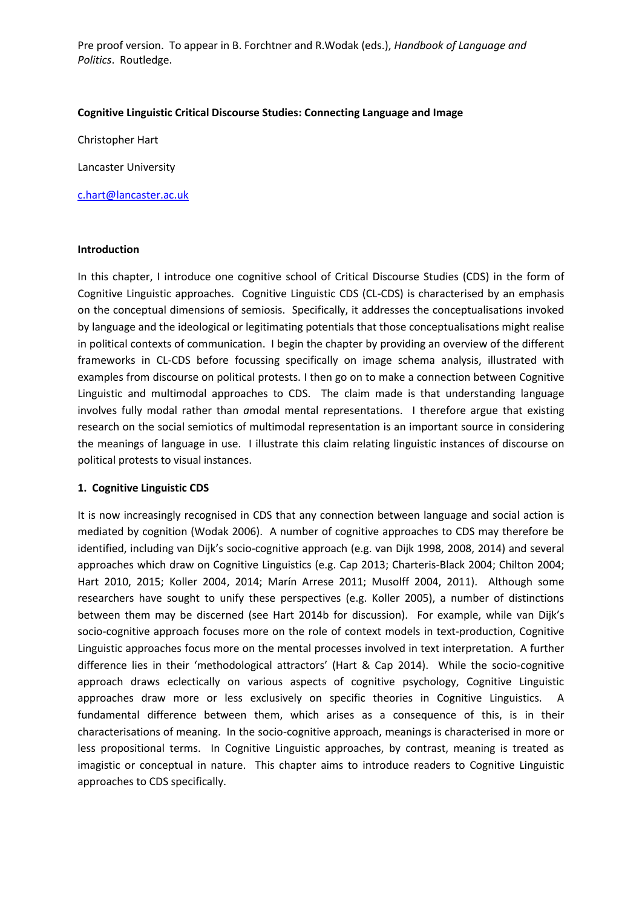## **Cognitive Linguistic Critical Discourse Studies: Connecting Language and Image**

Christopher Hart

Lancaster University

[c.hart@lancaster.ac.uk](mailto:c.hart@lancaster.ac.uk)

### **Introduction**

In this chapter, I introduce one cognitive school of Critical Discourse Studies (CDS) in the form of Cognitive Linguistic approaches. Cognitive Linguistic CDS (CL-CDS) is characterised by an emphasis on the conceptual dimensions of semiosis. Specifically, it addresses the conceptualisations invoked by language and the ideological or legitimating potentials that those conceptualisations might realise in political contexts of communication. I begin the chapter by providing an overview of the different frameworks in CL-CDS before focussing specifically on image schema analysis, illustrated with examples from discourse on political protests. I then go on to make a connection between Cognitive Linguistic and multimodal approaches to CDS. The claim made is that understanding language involves fully modal rather than *a*modal mental representations. I therefore argue that existing research on the social semiotics of multimodal representation is an important source in considering the meanings of language in use. I illustrate this claim relating linguistic instances of discourse on political protests to visual instances.

### **1. Cognitive Linguistic CDS**

It is now increasingly recognised in CDS that any connection between language and social action is mediated by cognition (Wodak 2006). A number of cognitive approaches to CDS may therefore be identified, including van Dijk's socio-cognitive approach (e.g. van Dijk 1998, 2008, 2014) and several approaches which draw on Cognitive Linguistics (e.g. Cap 2013; Charteris-Black 2004; Chilton 2004; Hart 2010, 2015; Koller 2004, 2014; Marín Arrese 2011; Musolff 2004, 2011). Although some researchers have sought to unify these perspectives (e.g. Koller 2005), a number of distinctions between them may be discerned (see Hart 2014b for discussion). For example, while van Dijk's socio-cognitive approach focuses more on the role of context models in text-production, Cognitive Linguistic approaches focus more on the mental processes involved in text interpretation. A further difference lies in their 'methodological attractors' (Hart & Cap 2014). While the socio-cognitive approach draws eclectically on various aspects of cognitive psychology, Cognitive Linguistic approaches draw more or less exclusively on specific theories in Cognitive Linguistics. A fundamental difference between them, which arises as a consequence of this, is in their characterisations of meaning. In the socio-cognitive approach, meanings is characterised in more or less propositional terms. In Cognitive Linguistic approaches, by contrast, meaning is treated as imagistic or conceptual in nature. This chapter aims to introduce readers to Cognitive Linguistic approaches to CDS specifically.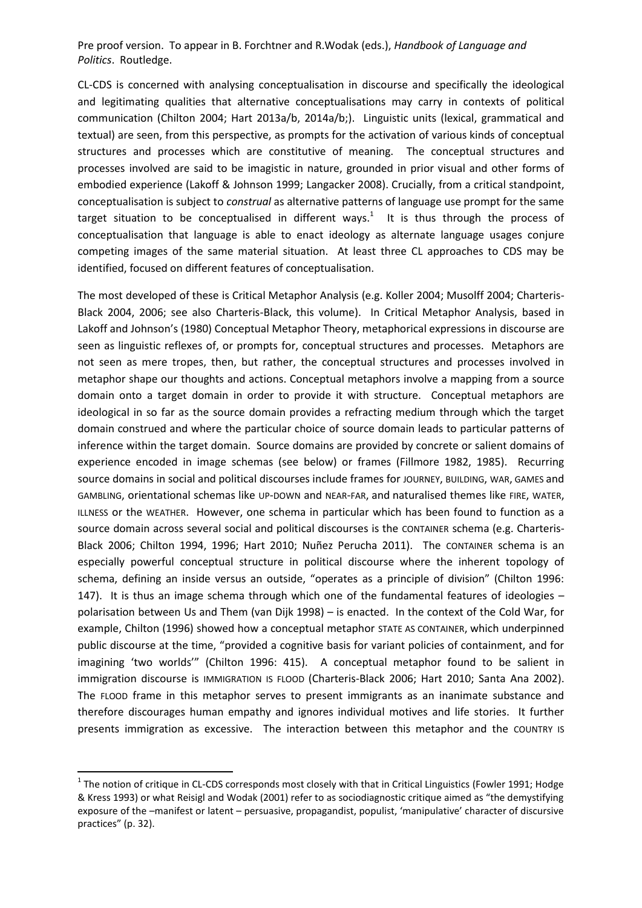CL-CDS is concerned with analysing conceptualisation in discourse and specifically the ideological and legitimating qualities that alternative conceptualisations may carry in contexts of political communication (Chilton 2004; Hart 2013a/b, 2014a/b;). Linguistic units (lexical, grammatical and textual) are seen, from this perspective, as prompts for the activation of various kinds of conceptual structures and processes which are constitutive of meaning. The conceptual structures and processes involved are said to be imagistic in nature, grounded in prior visual and other forms of embodied experience (Lakoff & Johnson 1999; Langacker 2008). Crucially, from a critical standpoint, conceptualisation is subject to *construal* as alternative patterns of language use prompt for the same target situation to be conceptualised in different ways.<sup>1</sup> It is thus through the process of conceptualisation that language is able to enact ideology as alternate language usages conjure competing images of the same material situation. At least three CL approaches to CDS may be identified, focused on different features of conceptualisation.

The most developed of these is Critical Metaphor Analysis (e.g. Koller 2004; Musolff 2004; Charteris-Black 2004, 2006; see also Charteris-Black, this volume). In Critical Metaphor Analysis, based in Lakoff and Johnson's (1980) Conceptual Metaphor Theory, metaphorical expressions in discourse are seen as linguistic reflexes of, or prompts for, conceptual structures and processes. Metaphors are not seen as mere tropes, then, but rather, the conceptual structures and processes involved in metaphor shape our thoughts and actions. Conceptual metaphors involve a mapping from a source domain onto a target domain in order to provide it with structure. Conceptual metaphors are ideological in so far as the source domain provides a refracting medium through which the target domain construed and where the particular choice of source domain leads to particular patterns of inference within the target domain. Source domains are provided by concrete or salient domains of experience encoded in image schemas (see below) or frames (Fillmore 1982, 1985). Recurring source domains in social and political discourses include frames for JOURNEY, BUILDING, WAR, GAMES and GAMBLING, orientational schemas like UP-DOWN and NEAR-FAR, and naturalised themes like FIRE, WATER, ILLNESS or the WEATHER. However, one schema in particular which has been found to function as a source domain across several social and political discourses is the CONTAINER schema (e.g. Charteris-Black 2006; Chilton 1994, 1996; Hart 2010; Nuñez Perucha 2011). The CONTAINER schema is an especially powerful conceptual structure in political discourse where the inherent topology of schema, defining an inside versus an outside, "operates as a principle of division" (Chilton 1996: 147). It is thus an image schema through which one of the fundamental features of ideologies – polarisation between Us and Them (van Dijk 1998) – is enacted. In the context of the Cold War, for example, Chilton (1996) showed how a conceptual metaphor STATE AS CONTAINER, which underpinned public discourse at the time, "provided a cognitive basis for variant policies of containment, and for imagining 'two worlds'" (Chilton 1996: 415). A conceptual metaphor found to be salient in immigration discourse is IMMIGRATION IS FLOOD (Charteris-Black 2006; Hart 2010; Santa Ana 2002). The FLOOD frame in this metaphor serves to present immigrants as an inanimate substance and therefore discourages human empathy and ignores individual motives and life stories. It further presents immigration as excessive. The interaction between this metaphor and the COUNTRY IS

 $1$  The notion of critique in CL-CDS corresponds most closely with that in Critical Linguistics (Fowler 1991; Hodge & Kress 1993) or what Reisigl and Wodak (2001) refer to as sociodiagnostic critique aimed as "the demystifying exposure of the –manifest or latent – persuasive, propagandist, populist, 'manipulative' character of discursive practices" (p. 32).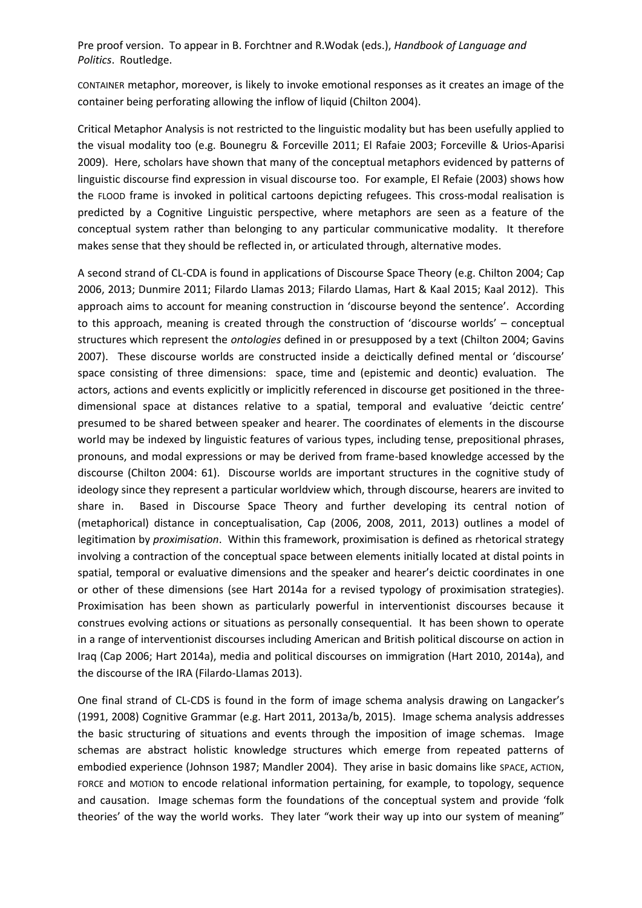CONTAINER metaphor, moreover, is likely to invoke emotional responses as it creates an image of the container being perforating allowing the inflow of liquid (Chilton 2004).

Critical Metaphor Analysis is not restricted to the linguistic modality but has been usefully applied to the visual modality too (e.g. Bounegru & Forceville 2011; El Rafaie 2003; Forceville & Urios-Aparisi 2009). Here, scholars have shown that many of the conceptual metaphors evidenced by patterns of linguistic discourse find expression in visual discourse too. For example, El Refaie (2003) shows how the FLOOD frame is invoked in political cartoons depicting refugees. This cross-modal realisation is predicted by a Cognitive Linguistic perspective, where metaphors are seen as a feature of the conceptual system rather than belonging to any particular communicative modality. It therefore makes sense that they should be reflected in, or articulated through, alternative modes.

A second strand of CL-CDA is found in applications of Discourse Space Theory (e.g. Chilton 2004; Cap 2006, 2013; Dunmire 2011; Filardo Llamas 2013; Filardo Llamas, Hart & Kaal 2015; Kaal 2012). This approach aims to account for meaning construction in 'discourse beyond the sentence'. According to this approach, meaning is created through the construction of 'discourse worlds' – conceptual structures which represent the *ontologies* defined in or presupposed by a text (Chilton 2004; Gavins 2007). These discourse worlds are constructed inside a deictically defined mental or 'discourse' space consisting of three dimensions: space, time and (epistemic and deontic) evaluation. The actors, actions and events explicitly or implicitly referenced in discourse get positioned in the threedimensional space at distances relative to a spatial, temporal and evaluative 'deictic centre' presumed to be shared between speaker and hearer. The coordinates of elements in the discourse world may be indexed by linguistic features of various types, including tense, prepositional phrases, pronouns, and modal expressions or may be derived from frame-based knowledge accessed by the discourse (Chilton 2004: 61). Discourse worlds are important structures in the cognitive study of ideology since they represent a particular worldview which, through discourse, hearers are invited to share in. Based in Discourse Space Theory and further developing its central notion of (metaphorical) distance in conceptualisation, Cap (2006, 2008, 2011, 2013) outlines a model of legitimation by *proximisation*. Within this framework, proximisation is defined as rhetorical strategy involving a contraction of the conceptual space between elements initially located at distal points in spatial, temporal or evaluative dimensions and the speaker and hearer's deictic coordinates in one or other of these dimensions (see Hart 2014a for a revised typology of proximisation strategies). Proximisation has been shown as particularly powerful in interventionist discourses because it construes evolving actions or situations as personally consequential. It has been shown to operate in a range of interventionist discourses including American and British political discourse on action in Iraq (Cap 2006; Hart 2014a), media and political discourses on immigration (Hart 2010, 2014a), and the discourse of the IRA (Filardo-Llamas 2013).

One final strand of CL-CDS is found in the form of image schema analysis drawing on Langacker's (1991, 2008) Cognitive Grammar (e.g. Hart 2011, 2013a/b, 2015). Image schema analysis addresses the basic structuring of situations and events through the imposition of image schemas. Image schemas are abstract holistic knowledge structures which emerge from repeated patterns of embodied experience (Johnson 1987; Mandler 2004). They arise in basic domains like SPACE, ACTION, FORCE and MOTION to encode relational information pertaining, for example, to topology, sequence and causation. Image schemas form the foundations of the conceptual system and provide 'folk theories' of the way the world works. They later "work their way up into our system of meaning"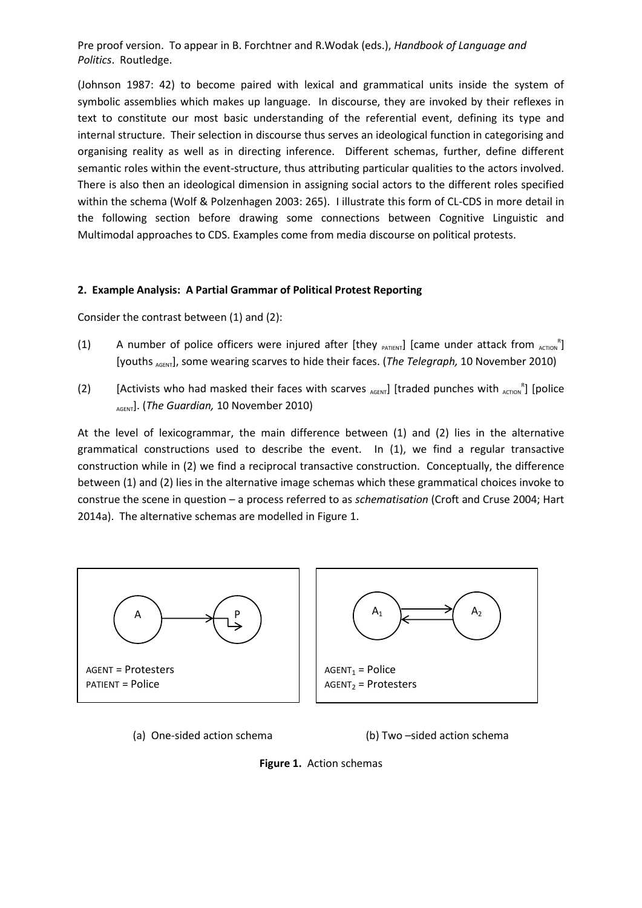(Johnson 1987: 42) to become paired with lexical and grammatical units inside the system of symbolic assemblies which makes up language. In discourse, they are invoked by their reflexes in text to constitute our most basic understanding of the referential event, defining its type and internal structure. Their selection in discourse thus serves an ideological function in categorising and organising reality as well as in directing inference. Different schemas, further, define different semantic roles within the event-structure, thus attributing particular qualities to the actors involved. There is also then an ideological dimension in assigning social actors to the different roles specified within the schema (Wolf & Polzenhagen 2003: 265). I illustrate this form of CL-CDS in more detail in the following section before drawing some connections between Cognitive Linguistic and Multimodal approaches to CDS. Examples come from media discourse on political protests.

# **2. Example Analysis: A Partial Grammar of Political Protest Reporting**

Consider the contrast between (1) and (2):

- (1) A number of police officers were injured after [they  $_{PATIENT}$ ] [came under attack from  $_{ACTION}$ <sup>R</sup>] [youths <sub>AGENT</sub>], some wearing scarves to hide their faces. (*The Telegraph*, 10 November 2010)
- (2) [Activists who had masked their faces with scarves  $_{AGENT}$ ] [traded punches with  $_{AGTION}$ <sup>R</sup>] [police AGENT]. (*The Guardian,* 10 November 2010)

At the level of lexicogrammar, the main difference between (1) and (2) lies in the alternative grammatical constructions used to describe the event. In (1), we find a regular transactive construction while in (2) we find a reciprocal transactive construction. Conceptually, the difference between (1) and (2) lies in the alternative image schemas which these grammatical choices invoke to construe the scene in question – a process referred to as *schematisation* (Croft and Cruse 2004; Hart 2014a). The alternative schemas are modelled in Figure 1.



(a) One-sided action schema (b) Two –sided action schema

**Figure 1.** Action schemas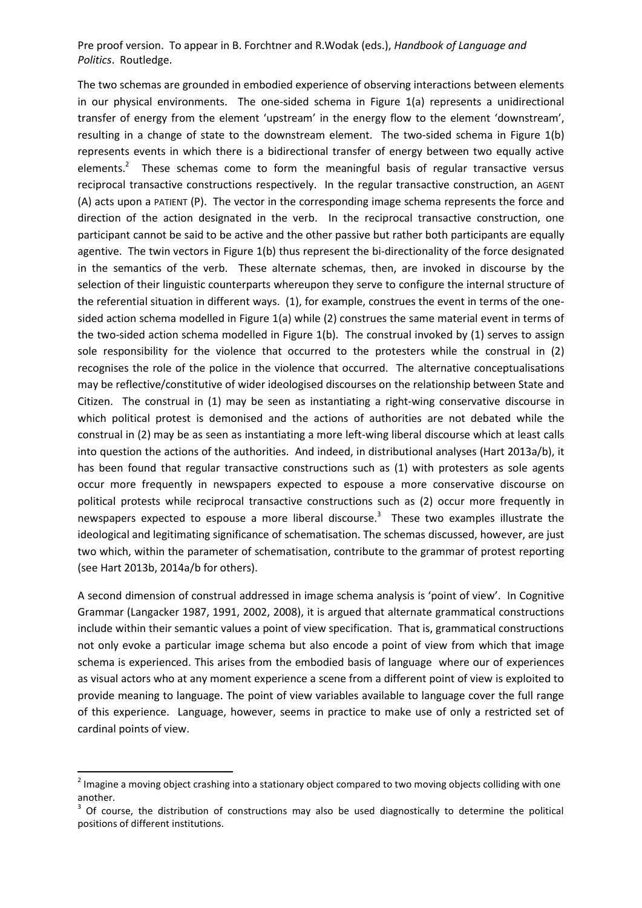The two schemas are grounded in embodied experience of observing interactions between elements in our physical environments. The one-sided schema in Figure 1(a) represents a unidirectional transfer of energy from the element 'upstream' in the energy flow to the element 'downstream', resulting in a change of state to the downstream element. The two-sided schema in Figure 1(b) represents events in which there is a bidirectional transfer of energy between two equally active elements.<sup>2</sup> These schemas come to form the meaningful basis of regular transactive versus reciprocal transactive constructions respectively. In the regular transactive construction, an AGENT (A) acts upon a PATIENT (P). The vector in the corresponding image schema represents the force and direction of the action designated in the verb. In the reciprocal transactive construction, one participant cannot be said to be active and the other passive but rather both participants are equally agentive. The twin vectors in Figure 1(b) thus represent the bi-directionality of the force designated in the semantics of the verb. These alternate schemas, then, are invoked in discourse by the selection of their linguistic counterparts whereupon they serve to configure the internal structure of the referential situation in different ways. (1), for example, construes the event in terms of the onesided action schema modelled in Figure 1(a) while (2) construes the same material event in terms of the two-sided action schema modelled in Figure 1(b). The construal invoked by (1) serves to assign sole responsibility for the violence that occurred to the protesters while the construal in (2) recognises the role of the police in the violence that occurred. The alternative conceptualisations may be reflective/constitutive of wider ideologised discourses on the relationship between State and Citizen. The construal in (1) may be seen as instantiating a right-wing conservative discourse in which political protest is demonised and the actions of authorities are not debated while the construal in (2) may be as seen as instantiating a more left-wing liberal discourse which at least calls into question the actions of the authorities. And indeed, in distributional analyses (Hart 2013a/b), it has been found that regular transactive constructions such as (1) with protesters as sole agents occur more frequently in newspapers expected to espouse a more conservative discourse on political protests while reciprocal transactive constructions such as (2) occur more frequently in newspapers expected to espouse a more liberal discourse.<sup>3</sup> These two examples illustrate the ideological and legitimating significance of schematisation. The schemas discussed, however, are just two which, within the parameter of schematisation, contribute to the grammar of protest reporting (see Hart 2013b, 2014a/b for others).

A second dimension of construal addressed in image schema analysis is 'point of view'. In Cognitive Grammar (Langacker 1987, 1991, 2002, 2008), it is argued that alternate grammatical constructions include within their semantic values a point of view specification. That is, grammatical constructions not only evoke a particular image schema but also encode a point of view from which that image schema is experienced. This arises from the embodied basis of language where our of experiences as visual actors who at any moment experience a scene from a different point of view is exploited to provide meaning to language. The point of view variables available to language cover the full range of this experience. Language, however, seems in practice to make use of only a restricted set of cardinal points of view.

 $2$  Imagine a moving object crashing into a stationary object compared to two moving objects colliding with one another.

<sup>3</sup> Of course, the distribution of constructions may also be used diagnostically to determine the political positions of different institutions.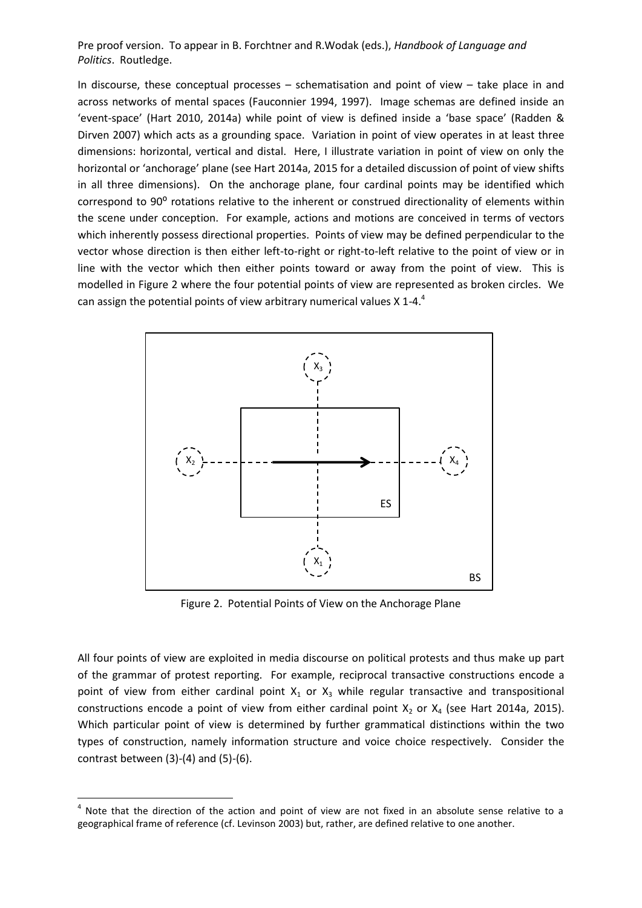In discourse, these conceptual processes – schematisation and point of view – take place in and across networks of mental spaces (Fauconnier 1994, 1997). Image schemas are defined inside an 'event-space' (Hart 2010, 2014a) while point of view is defined inside a 'base space' (Radden & Dirven 2007) which acts as a grounding space. Variation in point of view operates in at least three dimensions: horizontal, vertical and distal. Here, I illustrate variation in point of view on only the horizontal or 'anchorage' plane (see Hart 2014a, 2015 for a detailed discussion of point of view shifts in all three dimensions). On the anchorage plane, four cardinal points may be identified which correspond to 90° rotations relative to the inherent or construed directionality of elements within the scene under conception. For example, actions and motions are conceived in terms of vectors which inherently possess directional properties. Points of view may be defined perpendicular to the vector whose direction is then either left-to-right or right-to-left relative to the point of view or in line with the vector which then either points toward or away from the point of view. This is modelled in Figure 2 where the four potential points of view are represented as broken circles. We can assign the potential points of view arbitrary numerical values X 1-4. $4$ 



Figure 2. Potential Points of View on the Anchorage Plane

All four points of view are exploited in media discourse on political protests and thus make up part of the grammar of protest reporting. For example, reciprocal transactive constructions encode a point of view from either cardinal point  $X_1$  or  $X_3$  while regular transactive and transpositional constructions encode a point of view from either cardinal point  $X_2$  or  $X_4$  (see Hart 2014a, 2015). Which particular point of view is determined by further grammatical distinctions within the two types of construction, namely information structure and voice choice respectively. Consider the contrast between  $(3)-(4)$  and  $(5)-(6)$ .

 $4$  Note that the direction of the action and point of view are not fixed in an absolute sense relative to a geographical frame of reference (cf. Levinson 2003) but, rather, are defined relative to one another.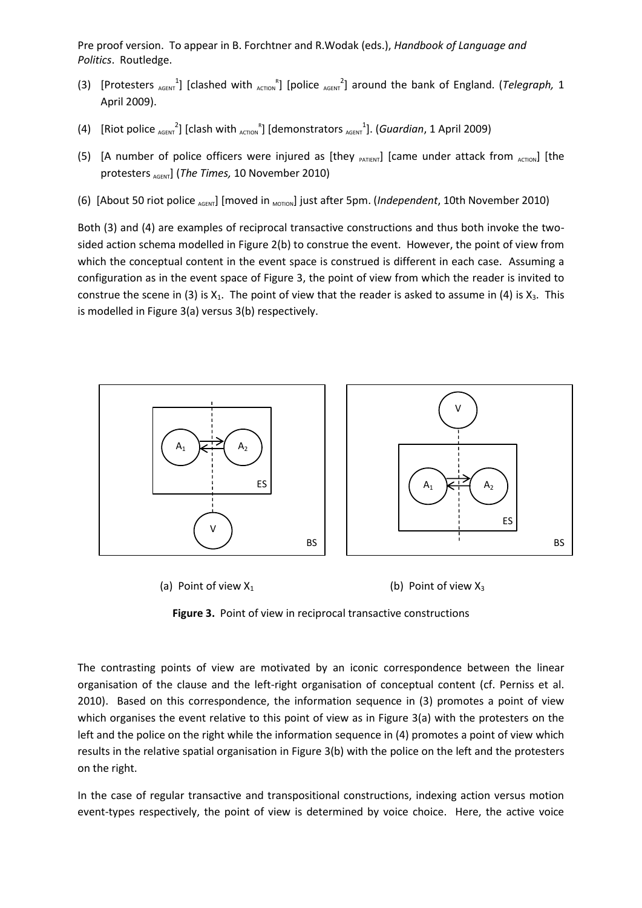- (3) [Protesters  $_{AGENT}$ <sup>1</sup>] [clashed with  $_{AGTON}$ <sup>R</sup>] [police  $_{AGENT}$ <sup>2</sup>] around the bank of England. (*Telegraph*, 1 April 2009).
- (4) [Riot police  $_{AGENT}^2$ ] [clash with  $_{AGTION}^R$ ] [demonstrators  $_{AGENT}^1$ ]. (*Guardian*, 1 April 2009)
- (5) [A number of police officers were injured as [they  $_{PATIENT}$ ] [came under attack from  $_{ACTION}$ ] [the protesters AGENT] (*The Times,* 10 November 2010)
- (6) [About 50 riot police AGENT] [moved in <sub>MOTION</sub>] just after 5pm. (*Independent*, 10th November 2010)

Both (3) and (4) are examples of reciprocal transactive constructions and thus both invoke the twosided action schema modelled in Figure 2(b) to construe the event. However, the point of view from which the conceptual content in the event space is construed is different in each case. Assuming a configuration as in the event space of Figure 3, the point of view from which the reader is invited to construe the scene in (3) is  $X_1$ . The point of view that the reader is asked to assume in (4) is  $X_3$ . This is modelled in Figure 3(a) versus 3(b) respectively.





**Figure 3.** Point of view in reciprocal transactive constructions

The contrasting points of view are motivated by an iconic correspondence between the linear organisation of the clause and the left-right organisation of conceptual content (cf. Perniss et al. 2010). Based on this correspondence, the information sequence in (3) promotes a point of view which organises the event relative to this point of view as in Figure 3(a) with the protesters on the left and the police on the right while the information sequence in (4) promotes a point of view which results in the relative spatial organisation in Figure 3(b) with the police on the left and the protesters on the right.

In the case of regular transactive and transpositional constructions, indexing action versus motion event-types respectively, the point of view is determined by voice choice. Here, the active voice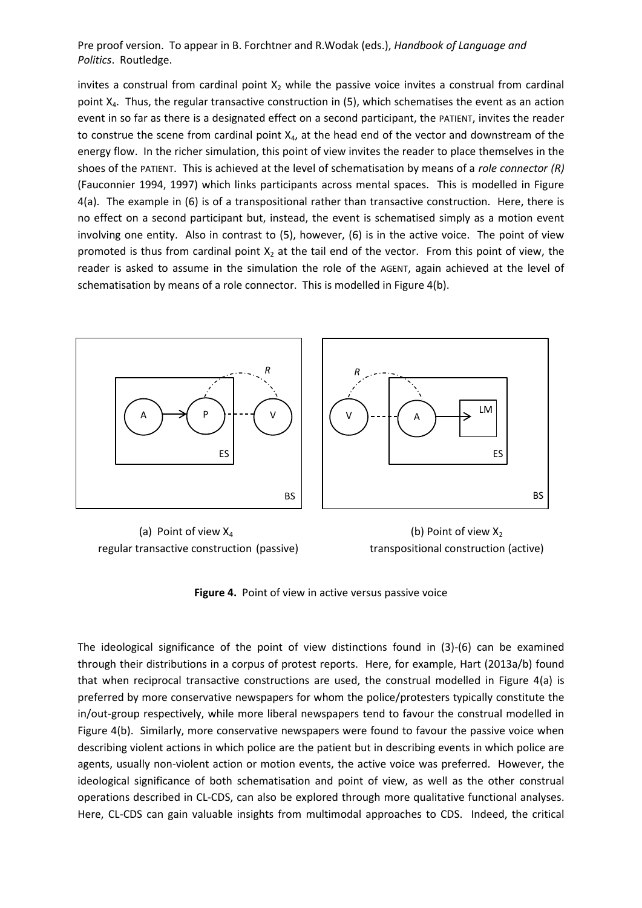invites a construal from cardinal point  $X_2$  while the passive voice invites a construal from cardinal point  $X_4$ . Thus, the regular transactive construction in (5), which schematises the event as an action event in so far as there is a designated effect on a second participant, the PATIENT, invites the reader to construe the scene from cardinal point  $X_4$ , at the head end of the vector and downstream of the energy flow. In the richer simulation, this point of view invites the reader to place themselves in the shoes of the PATIENT. This is achieved at the level of schematisation by means of a *role connector (R)*  (Fauconnier 1994, 1997) which links participants across mental spaces. This is modelled in Figure 4(a). The example in (6) is of a transpositional rather than transactive construction. Here, there is no effect on a second participant but, instead, the event is schematised simply as a motion event involving one entity. Also in contrast to (5), however, (6) is in the active voice. The point of view promoted is thus from cardinal point  $X_2$  at the tail end of the vector. From this point of view, the reader is asked to assume in the simulation the role of the AGENT, again achieved at the level of schematisation by means of a role connector. This is modelled in Figure 4(b).



(a) Point of view  $X_4$  (b) Point of view  $X_2$ regular transactive construction (passive) transpositional construction (active)

**Figure 4.** Point of view in active versus passive voice

The ideological significance of the point of view distinctions found in (3)-(6) can be examined through their distributions in a corpus of protest reports. Here, for example, Hart (2013a/b) found that when reciprocal transactive constructions are used, the construal modelled in Figure 4(a) is preferred by more conservative newspapers for whom the police/protesters typically constitute the in/out-group respectively, while more liberal newspapers tend to favour the construal modelled in Figure 4(b). Similarly, more conservative newspapers were found to favour the passive voice when describing violent actions in which police are the patient but in describing events in which police are agents, usually non-violent action or motion events, the active voice was preferred. However, the ideological significance of both schematisation and point of view, as well as the other construal operations described in CL-CDS, can also be explored through more qualitative functional analyses. Here, CL-CDS can gain valuable insights from multimodal approaches to CDS. Indeed, the critical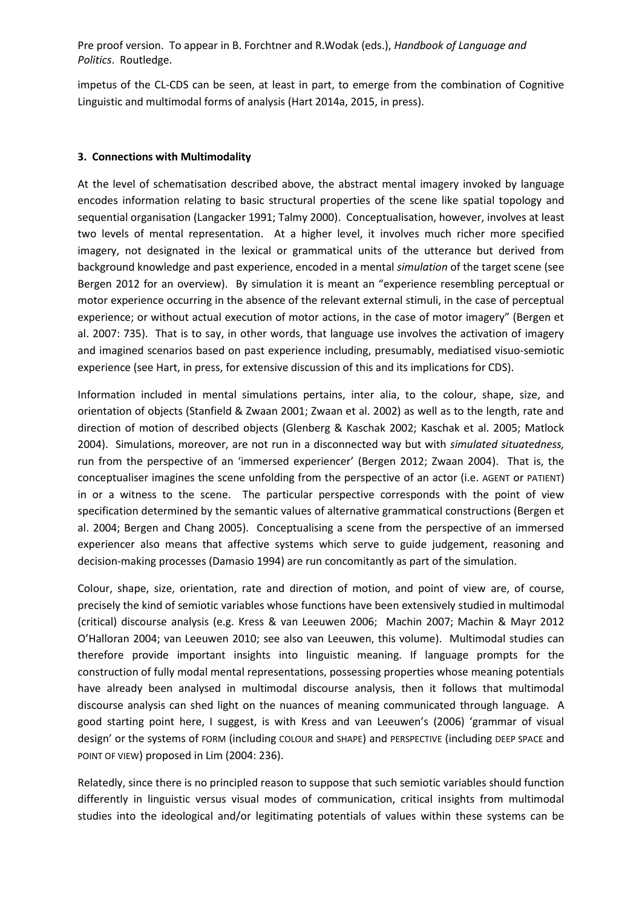impetus of the CL-CDS can be seen, at least in part, to emerge from the combination of Cognitive Linguistic and multimodal forms of analysis (Hart 2014a, 2015, in press).

## **3. Connections with Multimodality**

At the level of schematisation described above, the abstract mental imagery invoked by language encodes information relating to basic structural properties of the scene like spatial topology and sequential organisation (Langacker 1991; Talmy 2000). Conceptualisation, however, involves at least two levels of mental representation. At a higher level, it involves much richer more specified imagery, not designated in the lexical or grammatical units of the utterance but derived from background knowledge and past experience, encoded in a mental *simulation* of the target scene (see Bergen 2012 for an overview). By simulation it is meant an "experience resembling perceptual or motor experience occurring in the absence of the relevant external stimuli, in the case of perceptual experience; or without actual execution of motor actions, in the case of motor imagery" (Bergen et al. 2007: 735). That is to say, in other words, that language use involves the activation of imagery and imagined scenarios based on past experience including, presumably, mediatised visuo-semiotic experience (see Hart, in press, for extensive discussion of this and its implications for CDS).

Information included in mental simulations pertains, inter alia, to the colour, shape, size, and orientation of objects (Stanfield & Zwaan 2001; Zwaan et al. 2002) as well as to the length, rate and direction of motion of described objects (Glenberg & Kaschak 2002; Kaschak et al. 2005; Matlock 2004). Simulations, moreover, are not run in a disconnected way but with *simulated situatedness,* run from the perspective of an 'immersed experiencer' (Bergen 2012; Zwaan 2004). That is, the conceptualiser imagines the scene unfolding from the perspective of an actor (i.e. AGENT or PATIENT) in or a witness to the scene. The particular perspective corresponds with the point of view specification determined by the semantic values of alternative grammatical constructions (Bergen et al. 2004; Bergen and Chang 2005). Conceptualising a scene from the perspective of an immersed experiencer also means that affective systems which serve to guide judgement, reasoning and decision-making processes (Damasio 1994) are run concomitantly as part of the simulation.

Colour, shape, size, orientation, rate and direction of motion, and point of view are, of course, precisely the kind of semiotic variables whose functions have been extensively studied in multimodal (critical) discourse analysis (e.g. Kress & van Leeuwen 2006; Machin 2007; Machin & Mayr 2012 O'Halloran 2004; van Leeuwen 2010; see also van Leeuwen, this volume). Multimodal studies can therefore provide important insights into linguistic meaning. If language prompts for the construction of fully modal mental representations, possessing properties whose meaning potentials have already been analysed in multimodal discourse analysis, then it follows that multimodal discourse analysis can shed light on the nuances of meaning communicated through language. A good starting point here, I suggest, is with Kress and van Leeuwen's (2006) 'grammar of visual design' or the systems of FORM (including COLOUR and SHAPE) and PERSPECTIVE (including DEEP SPACE and POINT OF VIEW) proposed in Lim (2004: 236).

Relatedly, since there is no principled reason to suppose that such semiotic variables should function differently in linguistic versus visual modes of communication, critical insights from multimodal studies into the ideological and/or legitimating potentials of values within these systems can be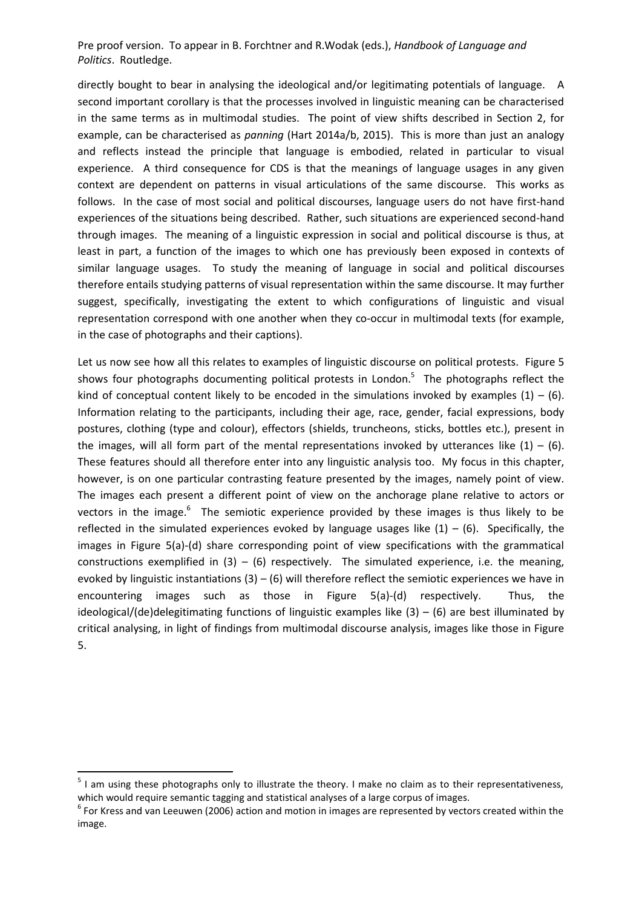directly bought to bear in analysing the ideological and/or legitimating potentials of language. A second important corollary is that the processes involved in linguistic meaning can be characterised in the same terms as in multimodal studies. The point of view shifts described in Section 2, for example, can be characterised as *panning* (Hart 2014a/b, 2015). This is more than just an analogy and reflects instead the principle that language is embodied, related in particular to visual experience. A third consequence for CDS is that the meanings of language usages in any given context are dependent on patterns in visual articulations of the same discourse. This works as follows. In the case of most social and political discourses, language users do not have first-hand experiences of the situations being described. Rather, such situations are experienced second-hand through images. The meaning of a linguistic expression in social and political discourse is thus, at least in part, a function of the images to which one has previously been exposed in contexts of similar language usages. To study the meaning of language in social and political discourses therefore entails studying patterns of visual representation within the same discourse. It may further suggest, specifically, investigating the extent to which configurations of linguistic and visual representation correspond with one another when they co-occur in multimodal texts (for example, in the case of photographs and their captions).

Let us now see how all this relates to examples of linguistic discourse on political protests. Figure 5 shows four photographs documenting political protests in London.<sup>5</sup> The photographs reflect the kind of conceptual content likely to be encoded in the simulations invoked by examples  $(1) - (6)$ . Information relating to the participants, including their age, race, gender, facial expressions, body postures, clothing (type and colour), effectors (shields, truncheons, sticks, bottles etc.), present in the images, will all form part of the mental representations invoked by utterances like  $(1) - (6)$ . These features should all therefore enter into any linguistic analysis too. My focus in this chapter, however, is on one particular contrasting feature presented by the images, namely point of view. The images each present a different point of view on the anchorage plane relative to actors or vectors in the image.<sup>6</sup> The semiotic experience provided by these images is thus likely to be reflected in the simulated experiences evoked by language usages like  $(1) - (6)$ . Specifically, the images in Figure 5(a)-(d) share corresponding point of view specifications with the grammatical constructions exemplified in  $(3) - (6)$  respectively. The simulated experience, i.e. the meaning, evoked by linguistic instantiations  $(3) - (6)$  will therefore reflect the semiotic experiences we have in encountering images such as those in Figure 5(a)-(d) respectively. Thus, the ideological/(de)delegitimating functions of linguistic examples like  $(3) - (6)$  are best illuminated by critical analysing, in light of findings from multimodal discourse analysis, images like those in Figure 5.

<sup>&</sup>lt;sup>5</sup> I am using these photographs only to illustrate the theory. I make no claim as to their representativeness, which would require semantic tagging and statistical analyses of a large corpus of images.

 $<sup>6</sup>$  For Kress and van Leeuwen (2006) action and motion in images are represented by vectors created within the</sup> image.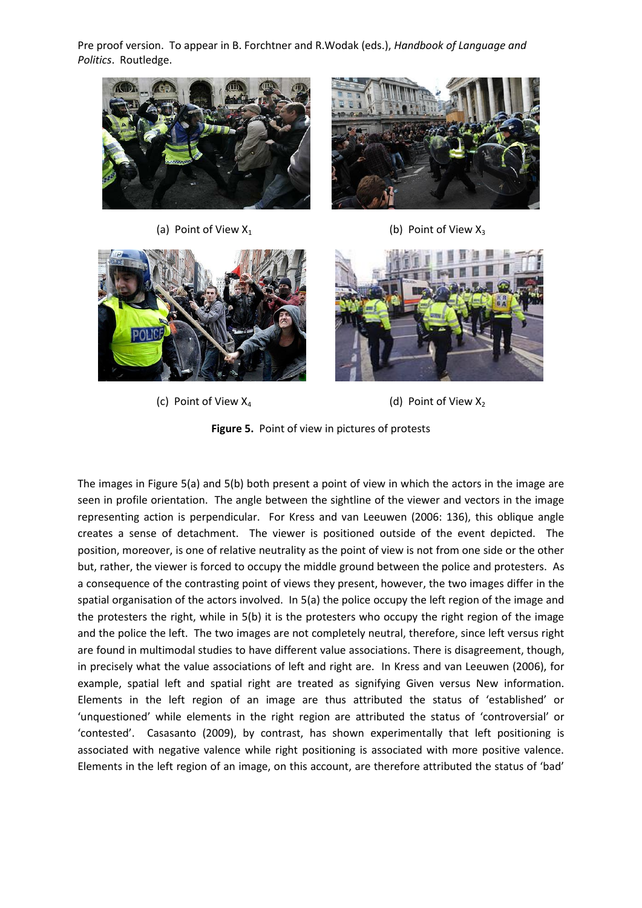

(a) Point of View  $X_1$  (b) Point of View  $X_3$ 





(c) Point of View  $X_4$  (d) Point of View  $X_2$ 

**Figure 5.** Point of view in pictures of protests

The images in Figure 5(a) and 5(b) both present a point of view in which the actors in the image are seen in profile orientation. The angle between the sightline of the viewer and vectors in the image representing action is perpendicular. For Kress and van Leeuwen (2006: 136), this oblique angle creates a sense of detachment. The viewer is positioned outside of the event depicted. The position, moreover, is one of relative neutrality as the point of view is not from one side or the other but, rather, the viewer is forced to occupy the middle ground between the police and protesters. As a consequence of the contrasting point of views they present, however, the two images differ in the spatial organisation of the actors involved. In 5(a) the police occupy the left region of the image and the protesters the right, while in 5(b) it is the protesters who occupy the right region of the image and the police the left. The two images are not completely neutral, therefore, since left versus right are found in multimodal studies to have different value associations. There is disagreement, though, in precisely what the value associations of left and right are. In Kress and van Leeuwen (2006), for example, spatial left and spatial right are treated as signifying Given versus New information. Elements in the left region of an image are thus attributed the status of 'established' or 'unquestioned' while elements in the right region are attributed the status of 'controversial' or 'contested'. Casasanto (2009), by contrast, has shown experimentally that left positioning is associated with negative valence while right positioning is associated with more positive valence. Elements in the left region of an image, on this account, are therefore attributed the status of 'bad'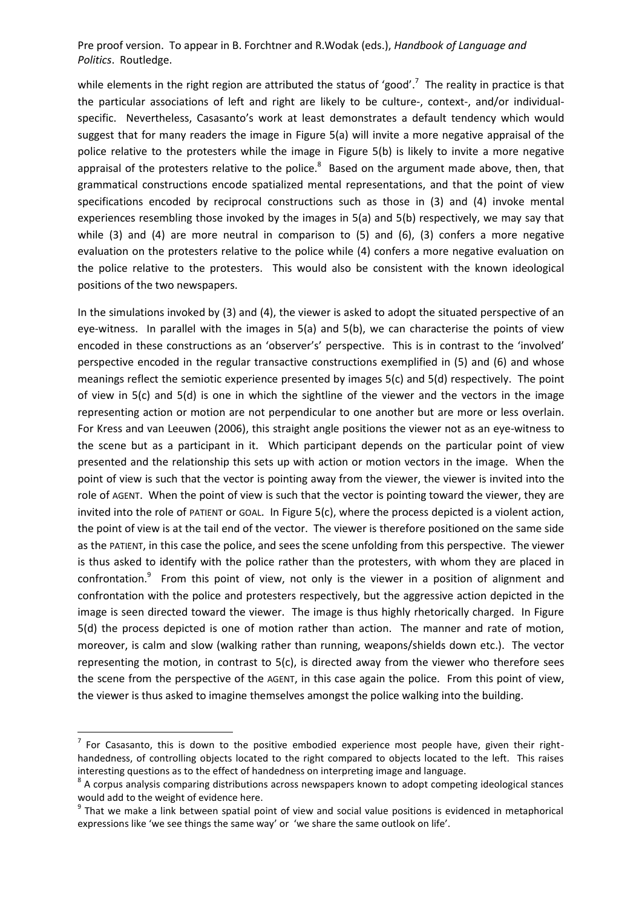while elements in the right region are attributed the status of 'good'.<sup>7</sup> The reality in practice is that the particular associations of left and right are likely to be culture-, context-, and/or individualspecific. Nevertheless, Casasanto's work at least demonstrates a default tendency which would suggest that for many readers the image in Figure 5(a) will invite a more negative appraisal of the police relative to the protesters while the image in Figure 5(b) is likely to invite a more negative appraisal of the protesters relative to the police.<sup>8</sup> Based on the argument made above, then, that grammatical constructions encode spatialized mental representations, and that the point of view specifications encoded by reciprocal constructions such as those in (3) and (4) invoke mental experiences resembling those invoked by the images in 5(a) and 5(b) respectively, we may say that while  $(3)$  and  $(4)$  are more neutral in comparison to  $(5)$  and  $(6)$ ,  $(3)$  confers a more negative evaluation on the protesters relative to the police while (4) confers a more negative evaluation on the police relative to the protesters. This would also be consistent with the known ideological positions of the two newspapers.

In the simulations invoked by (3) and (4), the viewer is asked to adopt the situated perspective of an eye-witness. In parallel with the images in 5(a) and 5(b), we can characterise the points of view encoded in these constructions as an 'observer's' perspective. This is in contrast to the 'involved' perspective encoded in the regular transactive constructions exemplified in (5) and (6) and whose meanings reflect the semiotic experience presented by images 5(c) and 5(d) respectively. The point of view in 5(c) and 5(d) is one in which the sightline of the viewer and the vectors in the image representing action or motion are not perpendicular to one another but are more or less overlain. For Kress and van Leeuwen (2006), this straight angle positions the viewer not as an eye-witness to the scene but as a participant in it. Which participant depends on the particular point of view presented and the relationship this sets up with action or motion vectors in the image. When the point of view is such that the vector is pointing away from the viewer, the viewer is invited into the role of AGENT. When the point of view is such that the vector is pointing toward the viewer, they are invited into the role of PATIENT or GOAL. In Figure 5(c), where the process depicted is a violent action, the point of view is at the tail end of the vector. The viewer is therefore positioned on the same side as the PATIENT, in this case the police, and sees the scene unfolding from this perspective. The viewer is thus asked to identify with the police rather than the protesters, with whom they are placed in confrontation.<sup>9</sup> From this point of view, not only is the viewer in a position of alignment and confrontation with the police and protesters respectively, but the aggressive action depicted in the image is seen directed toward the viewer. The image is thus highly rhetorically charged. In Figure 5(d) the process depicted is one of motion rather than action. The manner and rate of motion, moreover, is calm and slow (walking rather than running, weapons/shields down etc.). The vector representing the motion, in contrast to 5(c), is directed away from the viewer who therefore sees the scene from the perspective of the AGENT, in this case again the police. From this point of view, the viewer is thus asked to imagine themselves amongst the police walking into the building.

 $\overline{a}$ 

 $<sup>7</sup>$  For Casasanto, this is down to the positive embodied experience most people have, given their right-</sup> handedness, of controlling objects located to the right compared to objects located to the left. This raises interesting questions as to the effect of handedness on interpreting image and language.

<sup>&</sup>lt;sup>8</sup> A corpus analysis comparing distributions across newspapers known to adopt competing ideological stances would add to the weight of evidence here.

<sup>&</sup>lt;sup>9</sup> That we make a link between spatial point of view and social value positions is evidenced in metaphorical expressions like 'we see things the same way' or 'we share the same outlook on life'.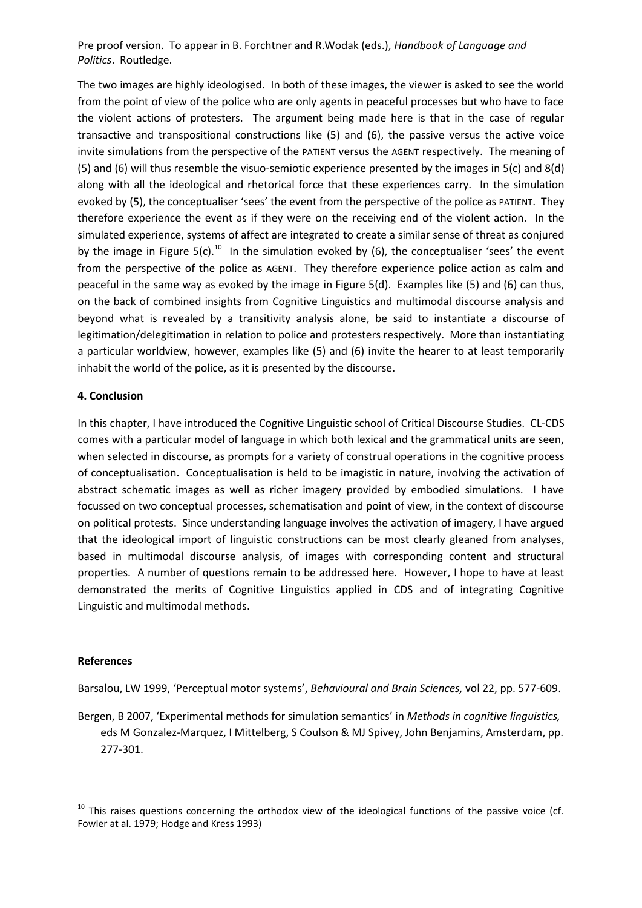The two images are highly ideologised. In both of these images, the viewer is asked to see the world from the point of view of the police who are only agents in peaceful processes but who have to face the violent actions of protesters. The argument being made here is that in the case of regular transactive and transpositional constructions like (5) and (6), the passive versus the active voice invite simulations from the perspective of the PATIENT versus the AGENT respectively. The meaning of (5) and (6) will thus resemble the visuo-semiotic experience presented by the images in 5(c) and 8(d) along with all the ideological and rhetorical force that these experiences carry. In the simulation evoked by (5), the conceptualiser 'sees' the event from the perspective of the police as PATIENT. They therefore experience the event as if they were on the receiving end of the violent action. In the simulated experience, systems of affect are integrated to create a similar sense of threat as conjured by the image in Figure 5(c).<sup>10</sup> In the simulation evoked by (6), the conceptualiser 'sees' the event from the perspective of the police as AGENT. They therefore experience police action as calm and peaceful in the same way as evoked by the image in Figure 5(d). Examples like (5) and (6) can thus, on the back of combined insights from Cognitive Linguistics and multimodal discourse analysis and beyond what is revealed by a transitivity analysis alone, be said to instantiate a discourse of legitimation/delegitimation in relation to police and protesters respectively. More than instantiating a particular worldview, however, examples like (5) and (6) invite the hearer to at least temporarily inhabit the world of the police, as it is presented by the discourse.

## **4. Conclusion**

In this chapter, I have introduced the Cognitive Linguistic school of Critical Discourse Studies. CL-CDS comes with a particular model of language in which both lexical and the grammatical units are seen, when selected in discourse, as prompts for a variety of construal operations in the cognitive process of conceptualisation. Conceptualisation is held to be imagistic in nature, involving the activation of abstract schematic images as well as richer imagery provided by embodied simulations. I have focussed on two conceptual processes, schematisation and point of view, in the context of discourse on political protests. Since understanding language involves the activation of imagery, I have argued that the ideological import of linguistic constructions can be most clearly gleaned from analyses, based in multimodal discourse analysis, of images with corresponding content and structural properties. A number of questions remain to be addressed here. However, I hope to have at least demonstrated the merits of Cognitive Linguistics applied in CDS and of integrating Cognitive Linguistic and multimodal methods.

## **References**

**.** 

Barsalou, LW 1999, 'Perceptual motor systems', *Behavioural and Brain Sciences,* vol 22, pp. 577-609.

Bergen, B 2007, 'Experimental methods for simulation semantics' in *Methods in cognitive linguistics,*  eds M Gonzalez-Marquez, I Mittelberg, S Coulson & MJ Spivey, John Benjamins, Amsterdam, pp. 277-301.

 $10$  This raises questions concerning the orthodox view of the ideological functions of the passive voice (cf. Fowler at al. 1979; Hodge and Kress 1993)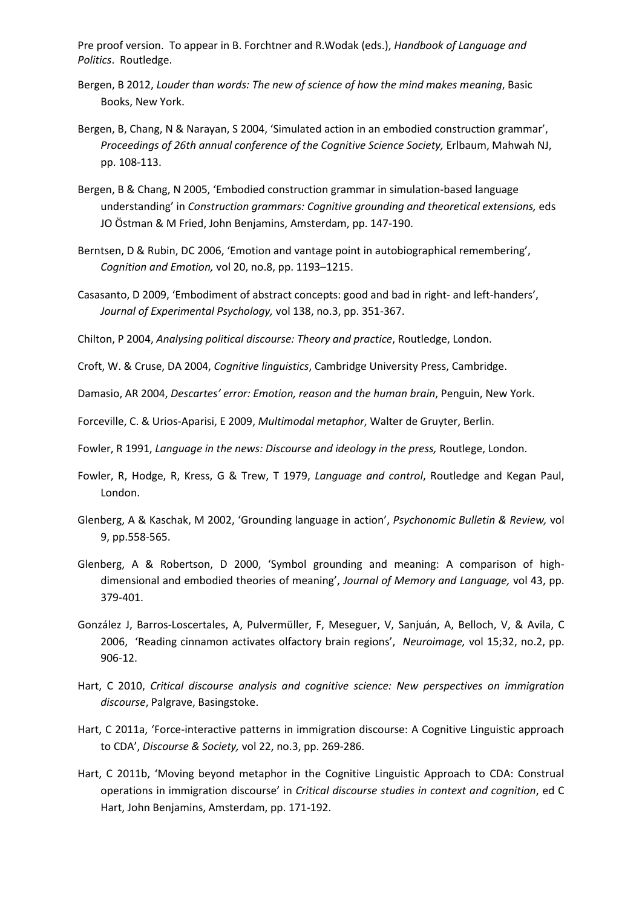- Bergen, B 2012, *Louder than words: The new of science of how the mind makes meaning*, Basic Books, New York.
- Bergen, B, Chang, N & Narayan, S 2004, 'Simulated action in an embodied construction grammar', *Proceedings of 26th annual conference of the Cognitive Science Society,* Erlbaum, Mahwah NJ, pp. 108-113.
- Bergen, B & Chang, N 2005, 'Embodied construction grammar in simulation-based language understanding' in *Construction grammars: Cognitive grounding and theoretical extensions,* eds JO Östman & M Fried, John Benjamins, Amsterdam, pp. 147-190.
- Berntsen, D & Rubin, DC 2006, 'Emotion and vantage point in autobiographical remembering', *Cognition and Emotion,* vol 20, no.8, pp. 1193–1215.
- Casasanto, D 2009, 'Embodiment of abstract concepts: good and bad in right- and left-handers', *Journal of Experimental Psychology,* vol 138, no.3, pp. 351-367.
- Chilton, P 2004, *Analysing political discourse: Theory and practice*, Routledge, London.

Croft, W. & Cruse, DA 2004, *Cognitive linguistics*, Cambridge University Press, Cambridge.

Damasio, AR 2004, *Descartes' error: Emotion, reason and the human brain*, Penguin, New York.

Forceville, C. & Urios-Aparisi, E 2009, *Multimodal metaphor*, Walter de Gruyter, Berlin.

Fowler, R 1991, *Language in the news: Discourse and ideology in the press,* Routlege, London.

- Fowler, R, Hodge, R, Kress, G & Trew, T 1979, *Language and control*, Routledge and Kegan Paul, London.
- Glenberg, A & Kaschak, M 2002, 'Grounding language in action', *Psychonomic Bulletin & Review,* vol 9, pp.558-565.
- Glenberg, A & Robertson, D 2000, 'Symbol grounding and meaning: A comparison of highdimensional and embodied theories of meaning', *Journal of Memory and Language,* vol 43, pp. 379-401.
- González J, Barros-Loscertales, A, Pulvermüller, F, Meseguer, V, Sanjuán, A, Belloch, V, & Avila, C 2006, 'Reading cinnamon activates olfactory brain regions', *Neuroimage,* vol 15;32, no.2, pp. 906-12.
- Hart, C 2010, *Critical discourse analysis and cognitive science: New perspectives on immigration discourse*, Palgrave, Basingstoke.
- Hart, C 2011a, 'Force-interactive patterns in immigration discourse: A Cognitive Linguistic approach to CDA', *Discourse & Society,* vol 22, no.3, pp. 269-286.
- Hart, C 2011b, 'Moving beyond metaphor in the Cognitive Linguistic Approach to CDA: Construal operations in immigration discourse' in *Critical discourse studies in context and cognition*, ed C Hart, John Benjamins, Amsterdam, pp. 171-192.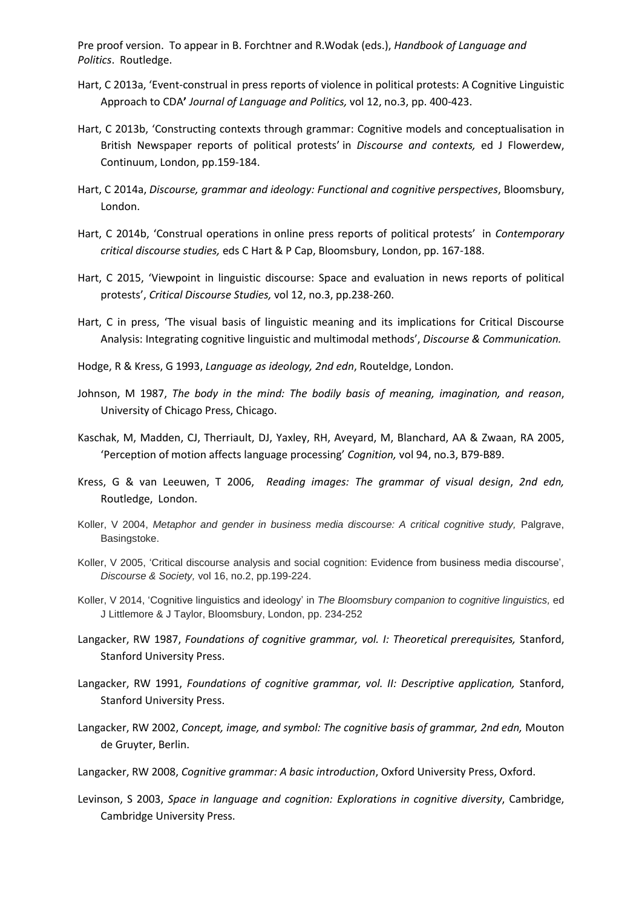- Hart, C 2013a, 'Event-construal in press reports of violence in political protests: A Cognitive Linguistic Approach to CDA**'** *Journal of Language and Politics,* vol 12, no.3, pp. 400-423.
- Hart, C 2013b, 'Constructing contexts through grammar: Cognitive models and conceptualisation in British Newspaper reports of political protests' in *Discourse and contexts,* ed J Flowerdew, Continuum, London, pp.159-184.
- Hart, C 2014a, *Discourse, grammar and ideology: Functional and cognitive perspectives*, Bloomsbury, London.
- Hart, C 2014b, 'Construal operations in online press reports of political protests' in *Contemporary critical discourse studies,* eds C Hart & P Cap, Bloomsbury, London, pp. 167-188.
- Hart, C 2015, 'Viewpoint in linguistic discourse: Space and evaluation in news reports of political protests', *Critical Discourse Studies,* vol 12, no.3, pp.238-260.
- Hart, C in press, 'The visual basis of linguistic meaning and its implications for Critical Discourse Analysis: Integrating cognitive linguistic and multimodal methods', *Discourse & Communication.*
- Hodge, R & Kress, G 1993, *Language as ideology, 2nd edn*, Routeldge, London.
- Johnson, M 1987, *The body in the mind: The bodily basis of meaning, imagination, and reason*, University of Chicago Press, Chicago.
- Kaschak, M, Madden, CJ, Therriault, DJ, Yaxley, RH, Aveyard, M, Blanchard, AA & Zwaan, RA 2005, 'Perception of motion affects language processing' *Cognition,* vol 94, no.3, B79-B89.
- Kress, G & van Leeuwen, T 2006, *Reading images: The grammar of visual design*, *2nd edn,*  Routledge, London.
- Koller, V 2004, *Metaphor and gender in business media discourse: A critical cognitive study, Palgrave,* Basingstoke.
- Koller, V 2005, 'Critical discourse analysis and social cognition: Evidence from business media discourse', *Discourse & Society,* vol 16, no.2, pp.199-224.
- Koller, V 2014, 'Cognitive linguistics and ideology' in *The Bloomsbury companion to cognitive linguistics,* ed J Littlemore & J Taylor, Bloomsbury, London, pp. 234-252
- Langacker, RW 1987, *Foundations of cognitive grammar, vol. I: Theoretical prerequisites,* Stanford, Stanford University Press.
- Langacker, RW 1991, *Foundations of cognitive grammar, vol. II: Descriptive application,* Stanford, Stanford University Press.
- Langacker, RW 2002, *Concept, image, and symbol: The cognitive basis of grammar, 2nd edn,* Mouton de Gruyter, Berlin.
- Langacker, RW 2008, *Cognitive grammar: A basic introduction*, Oxford University Press, Oxford.
- Levinson, S 2003, *Space in language and cognition: Explorations in cognitive diversity*, Cambridge, Cambridge University Press.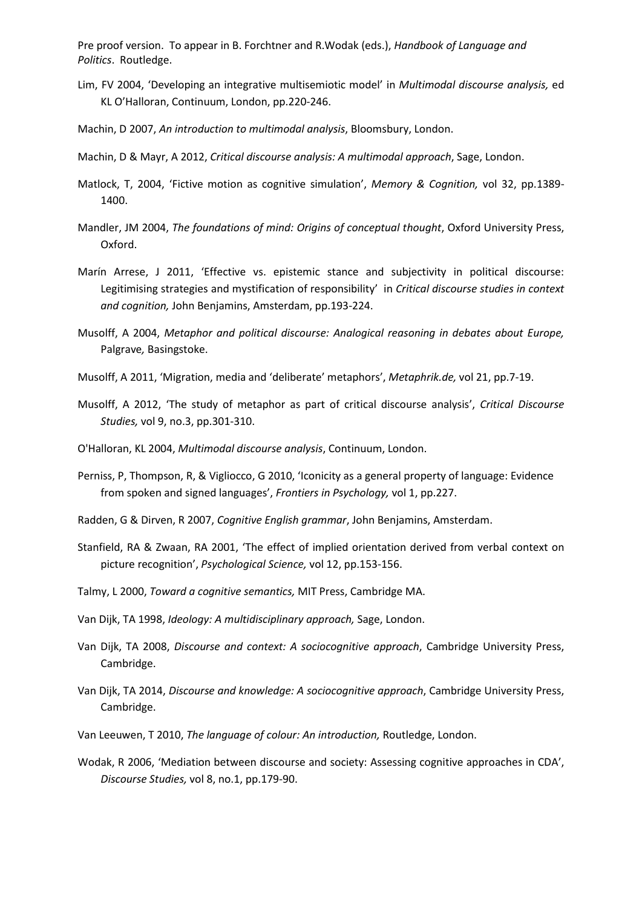- Lim, FV 2004, 'Developing an integrative multisemiotic model' in *Multimodal discourse analysis,* ed KL O'Halloran, Continuum, London, pp.220-246.
- Machin, D 2007, *An introduction to multimodal analysis*, Bloomsbury, London.
- Machin, D & Mayr, A 2012, *Critical discourse analysis: A multimodal approach*, Sage, London.
- Matlock, T, 2004, 'Fictive motion as cognitive simulation', *Memory & Cognition,* vol 32, pp.1389- 1400.
- Mandler, JM 2004, *The foundations of mind: Origins of conceptual thought*, Oxford University Press, Oxford.
- Marín Arrese, J 2011, 'Effective vs. epistemic stance and subjectivity in political discourse: Legitimising strategies and mystification of responsibility' in *Critical discourse studies in context and cognition,* John Benjamins, Amsterdam, pp.193-224.
- Musolff, A 2004, *Metaphor and political discourse: Analogical reasoning in debates about Europe,*  Palgrave*,* Basingstoke.
- Musolff, A 2011, 'Migration, media and 'deliberate' metaphors', *Metaphrik.de,* vol 21, pp.7-19.
- Musolff, A 2012, 'The study of metaphor as part of critical discourse analysis', *Critical Discourse Studies,* vol 9, no.3, pp.301-310.
- O'Halloran, KL 2004, *Multimodal discourse analysis*, Continuum, London.
- Perniss, P, Thompson, R, & Vigliocco, G 2010, 'Iconicity as a general property of language: Evidence from spoken and signed languages', *Frontiers in Psychology,* vol 1, pp.227.
- Radden, G & Dirven, R 2007, *Cognitive English grammar*, John Benjamins, Amsterdam.
- Stanfield, RA & Zwaan, RA 2001, 'The effect of implied orientation derived from verbal context on picture recognition', *Psychological Science,* vol 12, pp.153-156.
- Talmy, L 2000, *Toward a cognitive semantics,* MIT Press, Cambridge MA.
- Van Dijk, TA 1998, *Ideology: A multidisciplinary approach,* Sage, London.
- Van Dijk, TA 2008, *Discourse and context: A sociocognitive approach*, Cambridge University Press, Cambridge.
- Van Dijk, TA 2014, *Discourse and knowledge: A sociocognitive approach*, Cambridge University Press, Cambridge.
- Van Leeuwen, T 2010, *The language of colour: An introduction,* Routledge, London.
- Wodak, R 2006, 'Mediation between discourse and society: Assessing cognitive approaches in CDA', *Discourse Studies,* vol 8, no.1, pp.179-90.